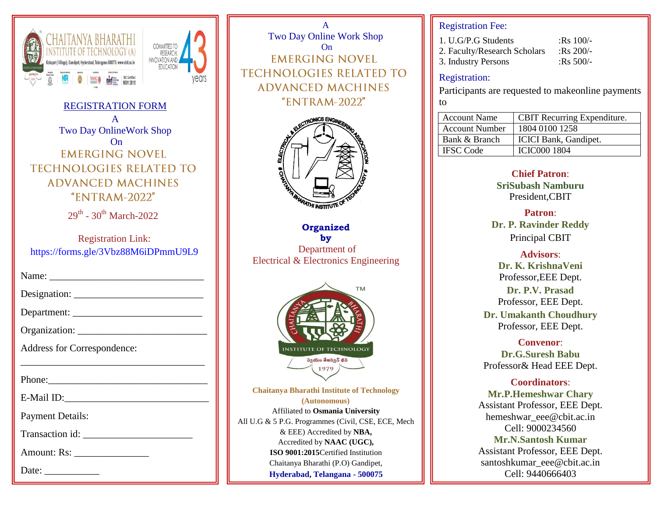



REGISTRATION FORM A Two Day OnlineWork Shop On **EMERGING NOVEL TECHNOLOGIES RELATED TO ADVANCED MACHINES**  $"ENTRAM-2022"$ 

 $29<sup>th</sup>$  -  $30<sup>th</sup>$  March-2022

Registration Link: <https://forms.gle/3Vbz88M6iDPmmU9L9>

| Address for Correspondence:                                                                                                                                                                                                    |  |  |  |
|--------------------------------------------------------------------------------------------------------------------------------------------------------------------------------------------------------------------------------|--|--|--|
|                                                                                                                                                                                                                                |  |  |  |
| Phone: 2008 Phone: 2008 Phone: 2008 Phone: 2008 Phone: 2008 Phone: 2008 Phone: 2008 Phone: 2008 Phone: 2008 Phone: 2008 Phone: 2008 Phone: 2008 Phone: 2008 Phone: 2008 Phone: 2008 Phone: 2008 Phone: 2008 Phone: 2008 Phone: |  |  |  |
|                                                                                                                                                                                                                                |  |  |  |
| <b>Payment Details:</b>                                                                                                                                                                                                        |  |  |  |
|                                                                                                                                                                                                                                |  |  |  |
| Amount: Rs: __________________                                                                                                                                                                                                 |  |  |  |
|                                                                                                                                                                                                                                |  |  |  |

A Two Day Online Work Shop On **EMERGING NOVEL TECHNOLOGIES RELATED TO ADVANCED MACHINES** "ENTRAM-2022"



**Organized by** Department of Electrical & Electronics Engineering



**Chaitanya Bharathi Institute of Technology (Autonomous)** Affiliated to **Osmania University**  All U.G & 5 P.G. Programmes (Civil, CSE, ECE, Mech & EEE) Accredited by **NBA,**  Accredited by **NAAC (UGC), ISO 9001:2015**Certified Institution Chaitanya Bharathi (P.O) Gandipet, **Hyderabad, Telangana - 500075**

## Registration Fee:

| 1. U.G/P.G Students          | :Rs $100/-$ |
|------------------------------|-------------|
| 2. Faculty/Research Scholars | :Rs $200/-$ |
| 3. Industry Persons          | :Rs $500/-$ |

#### Registration:

Participants are requested to makeonline payments to

| <b>Account Name</b>   | <b>CBIT</b> Recurring Expenditure. |
|-----------------------|------------------------------------|
| <b>Account Number</b> | 1804 0100 1258                     |
| Bank & Branch         | <b>ICICI Bank, Gandipet.</b>       |
| <b>IFSC</b> Code      | <b>ICIC000 1804</b>                |

**Chief Patron**: **SriSubash Namburu** President,CBIT

**Patron**: **Dr. P. Ravinder Reddy** Principal CBIT

**Advisors**: **Dr. K. KrishnaVeni** Professor,EEE Dept.

**Dr. P.V. Prasad** Professor, EEE Dept.

**Dr. Umakanth Choudhury** Professor, EEE Dept.

**Convenor**: **Dr.G.Suresh Babu** Professor& Head EEE Dept.

**Coordinators**: **Mr.P.Hemeshwar Chary** Assistant Professor, EEE Dept. hemeshwar\_eee@cbit.ac.in Cell: 9000234560 **Mr.N.Santosh Kumar** Assistant Professor, EEE Dept. santoshkumar\_eee@cbit.ac.in Cell: 9440666403